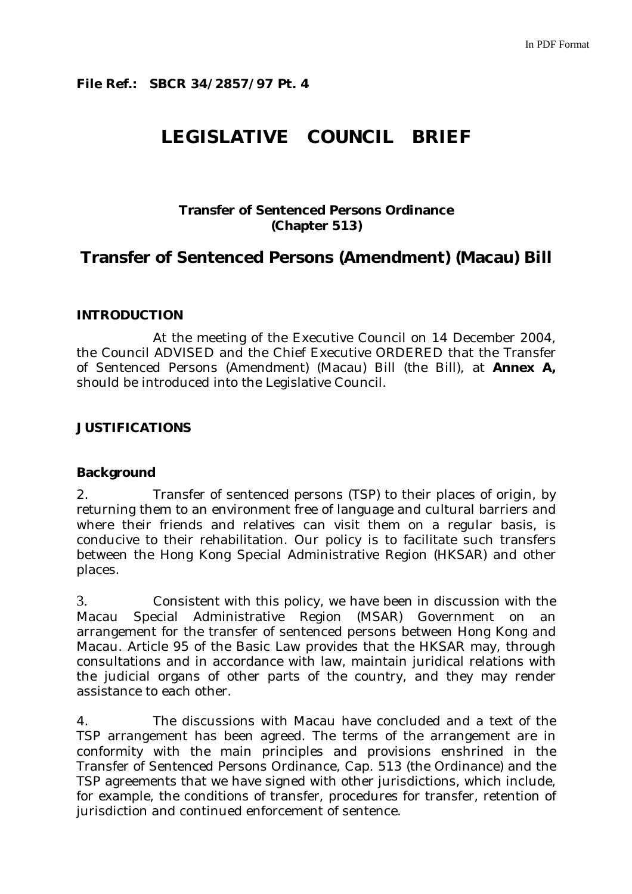# **LEGISLATIVE COUNCIL BRIEF**

## **Transfer of Sentenced Persons Ordinance (Chapter 513)**

## **Transfer of Sentenced Persons (Amendment) (Macau) Bill**

### **INTRODUCTION**

 At the meeting of the Executive Council on 14 December 2004, the Council ADVISED and the Chief Executive ORDERED that the Transfer of Sentenced Persons (Amendment) (Macau) Bill (the Bill), at **Annex A,**  should be introduced into the Legislative Council.

### **JUSTIFICATIONS**

#### **Background**

2. Transfer of sentenced persons (TSP) to their places of origin, by returning them to an environment free of language and cultural barriers and where their friends and relatives can visit them on a regular basis, is conducive to their rehabilitation. Our policy is to facilitate such transfers between the Hong Kong Special Administrative Region (HKSAR) and other places.

3. Consistent with this policy, we have been in discussion with the Macau Special Administrative Region (MSAR) Government on an arrangement for the transfer of sentenced persons between Hong Kong and Macau. Article 95 of the Basic Law provides that the HKSAR may, through consultations and in accordance with law, maintain juridical relations with the judicial organs of other parts of the country, and they may render assistance to each other.

4. The discussions with Macau have concluded and a text of the TSP arrangement has been agreed. The terms of the arrangement are in conformity with the main principles and provisions enshrined in the Transfer of Sentenced Persons Ordinance, Cap. 513 (the Ordinance) and the TSP agreements that we have signed with other jurisdictions, which include, for example, the conditions of transfer, procedures for transfer, retention of jurisdiction and continued enforcement of sentence.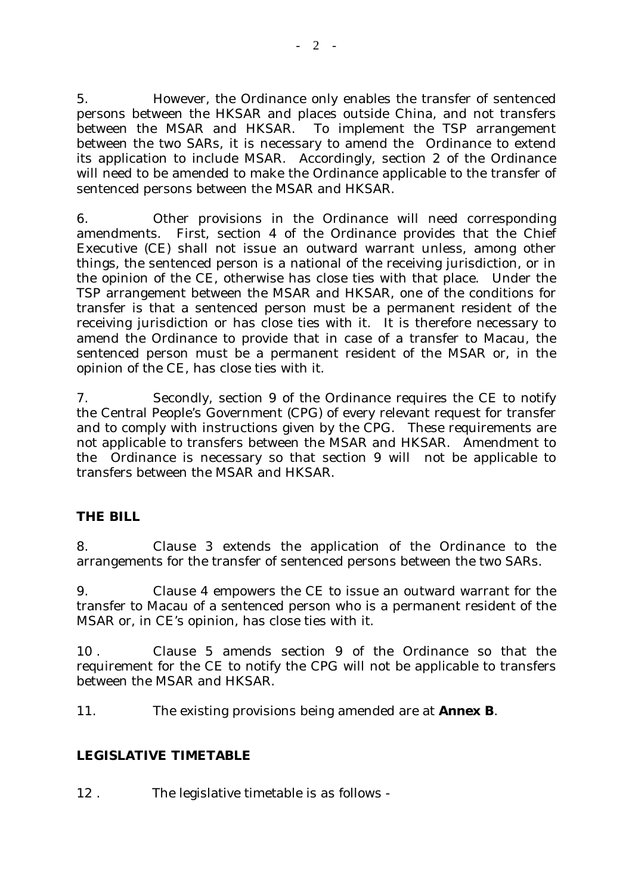5. However, the Ordinance only enables the transfer of sentenced persons between the HKSAR and places outside China, and not transfers between the MSAR and HKSAR. To implement the TSP arrangement between the two SARs, it is necessary to amend the Ordinance to extend its application to include MSAR. Accordingly, section 2 of the Ordinance will need to be amended to make the Ordinance applicable to the transfer of sentenced persons between the MSAR and HKSAR.

6. Other provisions in the Ordinance will need corresponding amendments. First, section 4 of the Ordinance provides that the Chief Executive (CE) shall not issue an outward warrant unless, among other things, the sentenced person is a national of the receiving jurisdiction, or in the opinion of the CE, otherwise has close ties with that place. Under the TSP arrangement between the MSAR and HKSAR, one of the conditions for transfer is that a sentenced person must be a permanent resident of the receiving jurisdiction or has close ties with it. It is therefore necessary to amend the Ordinance to provide that in case of a transfer to Macau, the sentenced person must be a permanent resident of the MSAR or, in the opinion of the CE, has close ties with it.

7. Secondly, section 9 of the Ordinance requires the CE to notify the Central People's Government (CPG) of every relevant request for transfer and to comply with instructions given by the CPG. These requirements are not applicable to transfers between the MSAR and HKSAR. Amendment to the Ordinance is necessary so that section 9 will not be applicable to transfers between the MSAR and HKSAR.

## **THE BILL**

8. Clause 3 extends the application of the Ordinance to the arrangements for the transfer of sentenced persons between the two SARs.

9. Clause 4 empowers the CE to issue an outward warrant for the transfer to Macau of a sentenced person who is a permanent resident of the MSAR or, in CE's opinion, has close ties with it.

10 . Clause 5 amends section 9 of the Ordinance so that the requirement for the CE to notify the CPG will not be applicable to transfers between the MSAR and HKSAR.

11. The existing provisions being amended are at **Annex B**.

## **LEGISLATIVE TIMETABLE**

12 . The legislative timetable is as follows -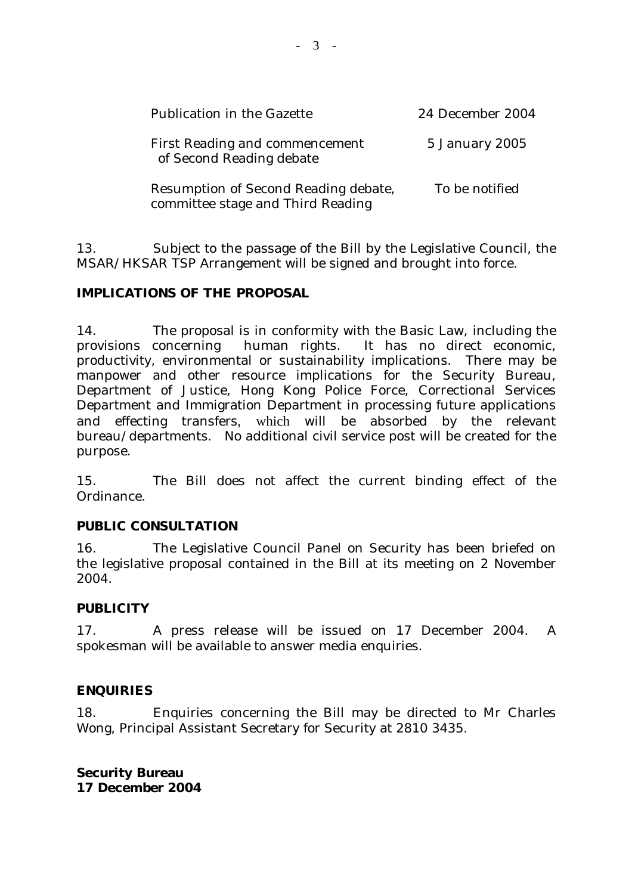| <b>Publication in the Gazette</b>                                         | 24 December 2004 |
|---------------------------------------------------------------------------|------------------|
| <b>First Reading and commencement</b><br>of Second Reading debate         | 5 January 2005   |
| Resumption of Second Reading debate,<br>committee stage and Third Reading | To be notified   |

13. Subject to the passage of the Bill by the Legislative Council, the MSAR/HKSAR TSP Arrangement will be signed and brought into force.

## **IMPLICATIONS OF THE PROPOSAL**

14. The proposal is in conformity with the Basic Law, including the provisions concerning human rights. It has no direct economic, productivity, environmental or sustainability implications. There may be manpower and other resource implications for the Security Bureau, Department of Justice, Hong Kong Police Force, Correctional Services Department and Immigration Department in processing future applications and effecting transfers, which will be absorbed by the relevant bureau/departments. No additional civil service post will be created for the purpose.

15. The Bill does not affect the current binding effect of the Ordinance.

## **PUBLIC CONSULTATION**

16. The Legislative Council Panel on Security has been briefed on the legislative proposal contained in the Bill at its meeting on 2 November 2004.

## **PUBLICITY**

17. A press release will be issued on 17 December 2004. A spokesman will be available to answer media enquiries.

## **ENQUIRIES**

18. Enquiries concerning the Bill may be directed to Mr Charles Wong, Principal Assistant Secretary for Security at 2810 3435.

**Security Bureau 17 December 2004**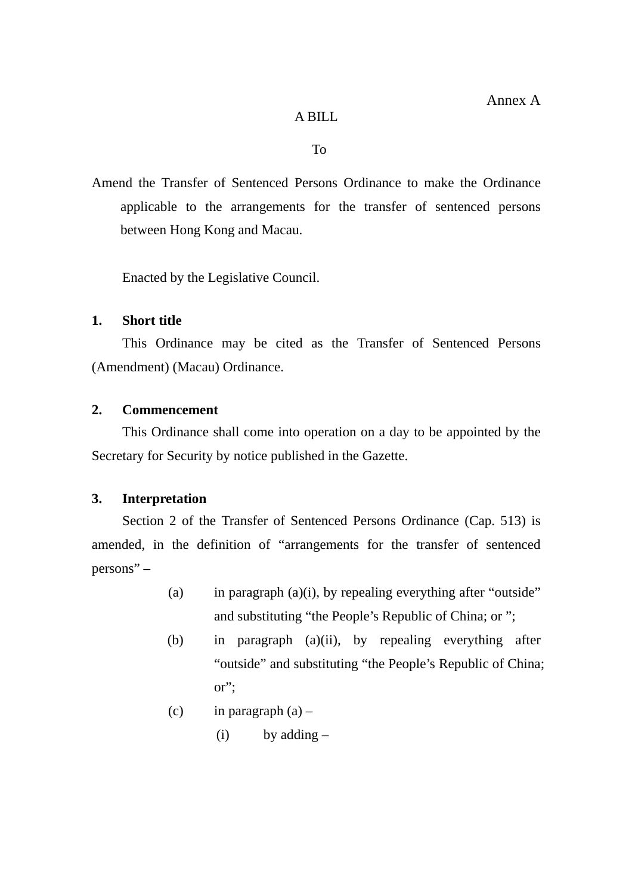### A BILL

To

Amend the Transfer of Sentenced Persons Ordinance to make the Ordinance applicable to the arrangements for the transfer of sentenced persons between Hong Kong and Macau.

Enacted by the Legislative Council.

## **1. Short title**

 This Ordinance may be cited as the Transfer of Sentenced Persons (Amendment) (Macau) Ordinance.

### **2. Commencement**

 This Ordinance shall come into operation on a day to be appointed by the Secretary for Security by notice published in the Gazette.

## **3. Interpretation**

Section 2 of the Transfer of Sentenced Persons Ordinance (Cap. 513) is amended, in the definition of "arrangements for the transfer of sentenced persons" –

- (a) in paragraph  $(a)(i)$ , by repealing everything after "outside" and substituting "the People's Republic of China; or ";
- (b) in paragraph (a)(ii), by repealing everything after "outside" and substituting "the People's Republic of China; or";
- (c) in paragraph  $(a)$ 
	- $(i)$  by adding  $-$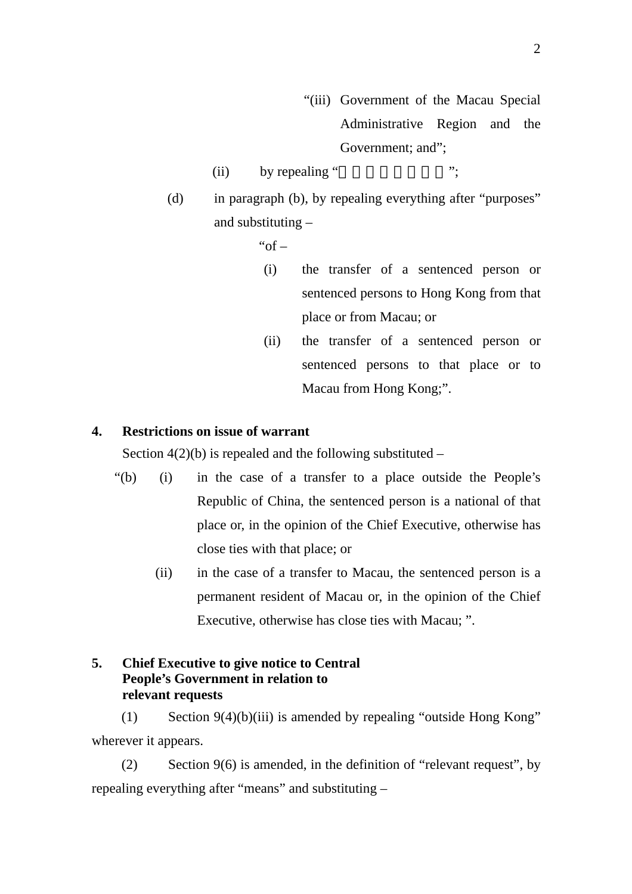- "(iii) Government of the Macau Special Administrative Region and the Government; and";
- (ii) by repealing " $\cdots$ ";
- (d) in paragraph (b), by repealing everything after "purposes" and substituting –

" $of -$ 

- (i) the transfer of a sentenced person or sentenced persons to Hong Kong from that place or from Macau; or
- (ii) the transfer of a sentenced person or sentenced persons to that place or to Macau from Hong Kong;".

### **4. Restrictions on issue of warrant**

Section  $4(2)(b)$  is repealed and the following substituted –

- "(b) (i) in the case of a transfer to a place outside the People's Republic of China, the sentenced person is a national of that place or, in the opinion of the Chief Executive, otherwise has close ties with that place; or
	- (ii) in the case of a transfer to Macau, the sentenced person is a permanent resident of Macau or, in the opinion of the Chief Executive, otherwise has close ties with Macau; ".

## **5. Chief Executive to give notice to Central People's Government in relation to relevant requests**

(1) Section 9(4)(b)(iii) is amended by repealing "outside Hong Kong" wherever it appears.

(2) Section 9(6) is amended, in the definition of "relevant request", by repealing everything after "means" and substituting –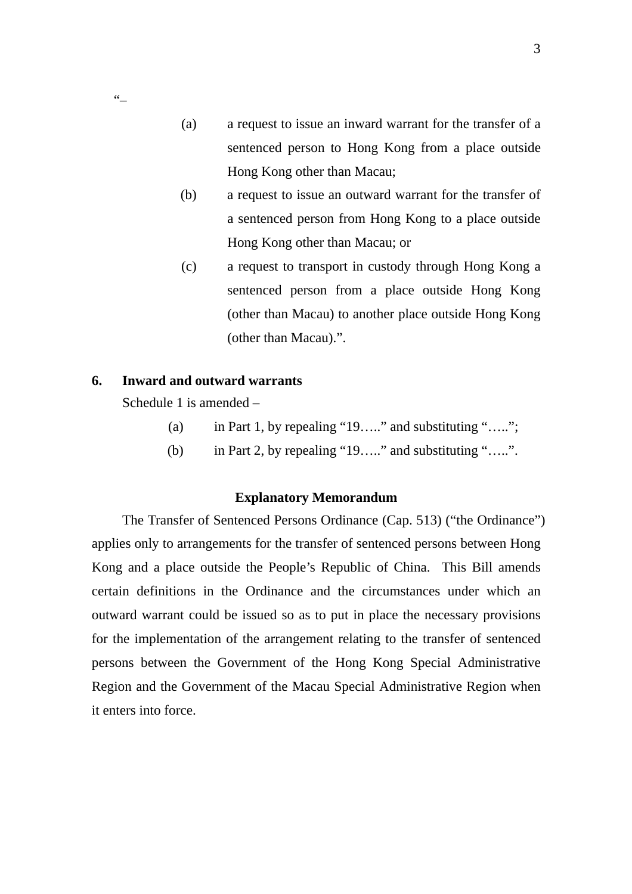- (a) a request to issue an inward warrant for the transfer of a sentenced person to Hong Kong from a place outside Hong Kong other than Macau;
- (b) a request to issue an outward warrant for the transfer of a sentenced person from Hong Kong to a place outside Hong Kong other than Macau; or
- (c) a request to transport in custody through Hong Kong a sentenced person from a place outside Hong Kong (other than Macau) to another place outside Hong Kong (other than Macau).".

## **6. Inward and outward warrants**

Schedule 1 is amended –

 $\epsilon$  –

- (a) in Part 1, by repealing "19….." and substituting "…..";
- (b) in Part 2, by repealing "19….." and substituting "…..".

### **Explanatory Memorandum**

The Transfer of Sentenced Persons Ordinance (Cap. 513) ("the Ordinance") applies only to arrangements for the transfer of sentenced persons between Hong Kong and a place outside the People's Republic of China. This Bill amends certain definitions in the Ordinance and the circumstances under which an outward warrant could be issued so as to put in place the necessary provisions for the implementation of the arrangement relating to the transfer of sentenced persons between the Government of the Hong Kong Special Administrative Region and the Government of the Macau Special Administrative Region when it enters into force.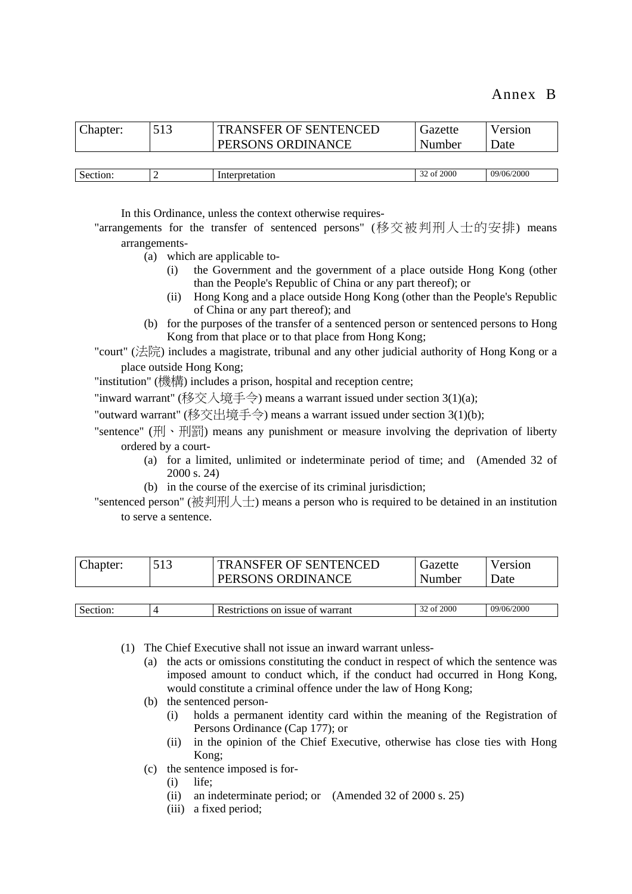| Chapter: | 513 | <b>TRANSFER OF SENTENCED</b><br>PERSONS ORDINANCE | Gazette<br>Number | Version<br>Date |
|----------|-----|---------------------------------------------------|-------------------|-----------------|
|          |     |                                                   |                   |                 |
| Section: |     | Interpretation                                    | 32 of 2000        | 09/06/2000      |

In this Ordinance, unless the context otherwise requires-

"arrangements for the transfer of sentenced persons" (移交被判刑人士的安排) means arrangements-

- (a) which are applicable to-
	- (i) the Government and the government of a place outside Hong Kong (other than the People's Republic of China or any part thereof); or
	- (ii) Hong Kong and a place outside Hong Kong (other than the People's Republic of China or any part thereof); and
- (b) for the purposes of the transfer of a sentenced person or sentenced persons to Hong Kong from that place or to that place from Hong Kong;

"court" (法院) includes a magistrate, tribunal and any other judicial authority of Hong Kong or a place outside Hong Kong;

"institution" (機構) includes a prison, hospital and reception centre;

"inward warrant" (移交入境手令) means a warrant issued under section 3(1)(a);

"outward warrant" (移交出境手令) means a warrant issued under section 3(1)(b);

"sentence" (刑、刑罰) means any punishment or measure involving the deprivation of liberty ordered by a court-

- (a) for a limited, unlimited or indeterminate period of time; and (Amended 32 of 2000 s. 24)
- (b) in the course of the exercise of its criminal jurisdiction;
- "sentenced person" (被判刑人士) means a person who is required to be detained in an institution to serve a sentence.

| Chapter: | <b>TRANSFER OF SENTENCED</b> | Gazette | Version |
|----------|------------------------------|---------|---------|
|          | PERSONS ORDINANCE            | Number  | Jate    |
|          |                              |         |         |

| $\sim$<br>Sect | <b>issue</b><br>wan<br>ОT<br>01<br>، an | 2000<br>ΩŤ | 000<br>١h<br>- IU |
|----------------|-----------------------------------------|------------|-------------------|
|                |                                         |            |                   |

(1) The Chief Executive shall not issue an inward warrant unless-

- (a) the acts or omissions constituting the conduct in respect of which the sentence was imposed amount to conduct which, if the conduct had occurred in Hong Kong, would constitute a criminal offence under the law of Hong Kong;
- (b) the sentenced person-
	- (i) holds a permanent identity card within the meaning of the Registration of Persons Ordinance (Cap 177); or
	- (ii) in the opinion of the Chief Executive, otherwise has close ties with Hong Kong;
- (c) the sentence imposed is for-
	- (i) life;
	- (ii) an indeterminate period; or (Amended 32 of 2000 s. 25)
	- (iii) a fixed period;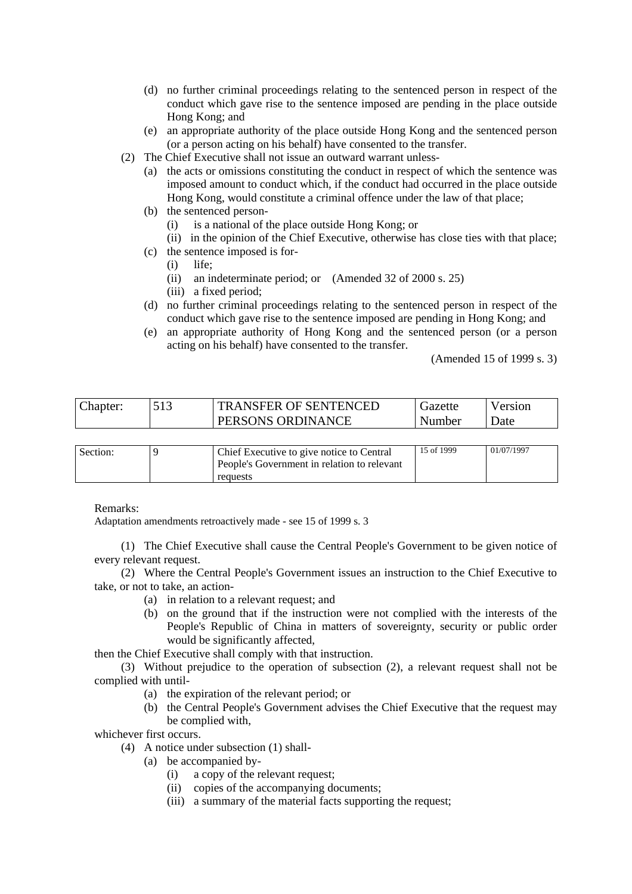- (d) no further criminal proceedings relating to the sentenced person in respect of the conduct which gave rise to the sentence imposed are pending in the place outside Hong Kong; and
- (e) an appropriate authority of the place outside Hong Kong and the sentenced person (or a person acting on his behalf) have consented to the transfer.
- (2) The Chief Executive shall not issue an outward warrant unless-
	- (a) the acts or omissions constituting the conduct in respect of which the sentence was imposed amount to conduct which, if the conduct had occurred in the place outside Hong Kong, would constitute a criminal offence under the law of that place;
	- (b) the sentenced person-
		- (i) is a national of the place outside Hong Kong; or
		- (ii) in the opinion of the Chief Executive, otherwise has close ties with that place;
	- (c) the sentence imposed is for-
		- (i) life;
		- (ii) an indeterminate period; or (Amended 32 of 2000 s. 25)
		- (iii) a fixed period;
	- (d) no further criminal proceedings relating to the sentenced person in respect of the conduct which gave rise to the sentence imposed are pending in Hong Kong; and
	- (e) an appropriate authority of Hong Kong and the sentenced person (or a person acting on his behalf) have consented to the transfer.

(Amended 15 of 1999 s. 3)

| Chapter: | <b>TRANSFER OF SENTENCED</b> | Ciazette | Version |
|----------|------------------------------|----------|---------|
|          | PERSONS ORDINANCE            | Number   | Date    |
|          |                              |          |         |

| Section: | Chief Executive to give notice to Central   | 15 of 1999 | 01/07/1997 |
|----------|---------------------------------------------|------------|------------|
|          | People's Government in relation to relevant |            |            |
|          | requests                                    |            |            |

#### Remarks:

Adaptation amendments retroactively made - see 15 of 1999 s. 3

(1) The Chief Executive shall cause the Central People's Government to be given notice of every relevant request.

(2) Where the Central People's Government issues an instruction to the Chief Executive to take, or not to take, an action-

- (a) in relation to a relevant request; and
- (b) on the ground that if the instruction were not complied with the interests of the People's Republic of China in matters of sovereignty, security or public order would be significantly affected,

then the Chief Executive shall comply with that instruction.

(3) Without prejudice to the operation of subsection (2), a relevant request shall not be complied with until-

- (a) the expiration of the relevant period; or
- (b) the Central People's Government advises the Chief Executive that the request may be complied with,

whichever first occurs.

- (4) A notice under subsection (1) shall-
	- (a) be accompanied by-
		- (i) a copy of the relevant request;
		- (ii) copies of the accompanying documents;
		- (iii) a summary of the material facts supporting the request;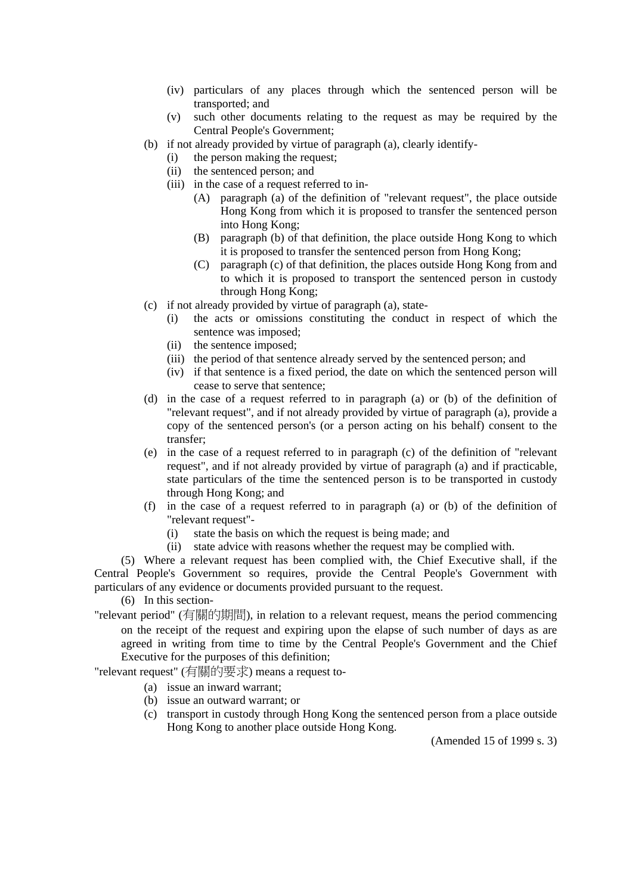- (iv) particulars of any places through which the sentenced person will be transported; and
- (v) such other documents relating to the request as may be required by the Central People's Government;
- (b) if not already provided by virtue of paragraph (a), clearly identify-
	- (i) the person making the request;
	- (ii) the sentenced person; and
	- (iii) in the case of a request referred to in-
		- (A) paragraph (a) of the definition of "relevant request", the place outside Hong Kong from which it is proposed to transfer the sentenced person into Hong Kong;
		- (B) paragraph (b) of that definition, the place outside Hong Kong to which it is proposed to transfer the sentenced person from Hong Kong;
		- (C) paragraph (c) of that definition, the places outside Hong Kong from and to which it is proposed to transport the sentenced person in custody through Hong Kong;
- (c) if not already provided by virtue of paragraph (a), state-
	- (i) the acts or omissions constituting the conduct in respect of which the sentence was imposed;
	- (ii) the sentence imposed;
	- (iii) the period of that sentence already served by the sentenced person; and
	- (iv) if that sentence is a fixed period, the date on which the sentenced person will cease to serve that sentence;
- (d) in the case of a request referred to in paragraph (a) or (b) of the definition of "relevant request", and if not already provided by virtue of paragraph (a), provide a copy of the sentenced person's (or a person acting on his behalf) consent to the transfer;
- (e) in the case of a request referred to in paragraph (c) of the definition of "relevant request", and if not already provided by virtue of paragraph (a) and if practicable, state particulars of the time the sentenced person is to be transported in custody through Hong Kong; and
- (f) in the case of a request referred to in paragraph (a) or (b) of the definition of "relevant request"-
	- (i) state the basis on which the request is being made; and
	- (ii) state advice with reasons whether the request may be complied with.

(5) Where a relevant request has been complied with, the Chief Executive shall, if the Central People's Government so requires, provide the Central People's Government with particulars of any evidence or documents provided pursuant to the request.

(6) In this section-

"relevant period" (有關的期間), in relation to a relevant request, means the period commencing on the receipt of the request and expiring upon the elapse of such number of days as are agreed in writing from time to time by the Central People's Government and the Chief Executive for the purposes of this definition;

"relevant request" (有關的要求) means a request to-

- (a) issue an inward warrant;
- (b) issue an outward warrant; or
- (c) transport in custody through Hong Kong the sentenced person from a place outside Hong Kong to another place outside Hong Kong.

(Amended 15 of 1999 s. 3)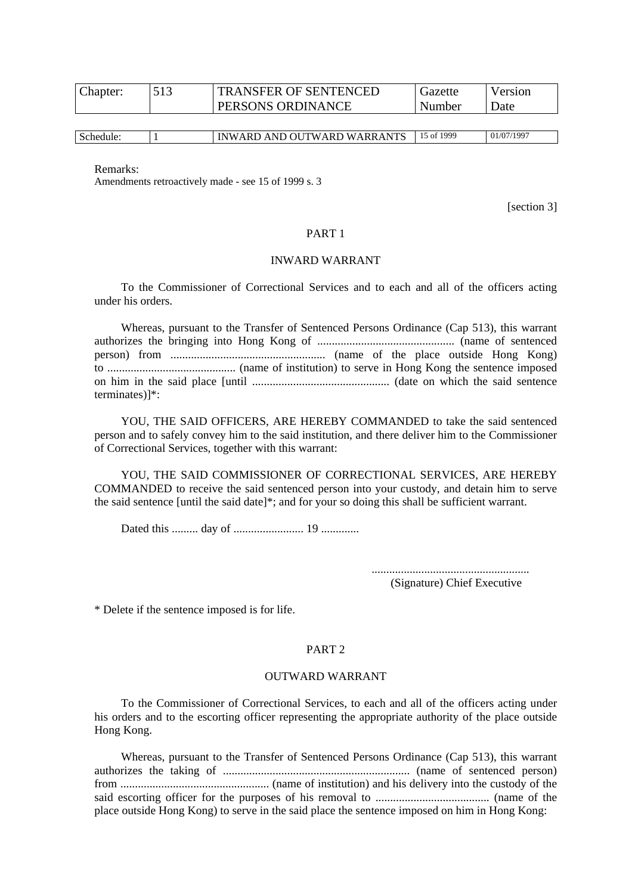| Chapter: | <b>TRANSFER OF SENTENCED</b> | Gazette | Version |
|----------|------------------------------|---------|---------|
|          | PERSONS ORDINANCE            | Number  | Date    |
|          |                              |         |         |

| Schedule: | $\lambda$ Trees<br>١L<br>$T^T W \Delta$ .<br>W<br>ARL<br>ARRA<br>N<br>. .<br>AM.<br>$\cdots$ | 1999<br>$\Omega$ | 1007<br>/07<br> |
|-----------|----------------------------------------------------------------------------------------------|------------------|-----------------|
|-----------|----------------------------------------------------------------------------------------------|------------------|-----------------|

Remarks:

Amendments retroactively made - see 15 of 1999 s. 3

[section 3]

#### PART 1

#### INWARD WARRANT

To the Commissioner of Correctional Services and to each and all of the officers acting under his orders.

Whereas, pursuant to the Transfer of Sentenced Persons Ordinance (Cap 513), this warrant authorizes the bringing into Hong Kong of ............................................... (name of sentenced person) from ..................................................... (name of the place outside Hong Kong) to ............................................ (name of institution) to serve in Hong Kong the sentence imposed on him in the said place [until ............................................... (date on which the said sentence terminates)]\*:

YOU, THE SAID OFFICERS, ARE HEREBY COMMANDED to take the said sentenced person and to safely convey him to the said institution, and there deliver him to the Commissioner of Correctional Services, together with this warrant:

YOU, THE SAID COMMISSIONER OF CORRECTIONAL SERVICES, ARE HEREBY COMMANDED to receive the said sentenced person into your custody, and detain him to serve the said sentence [until the said date]\*; and for your so doing this shall be sufficient warrant.

Dated this ......... day of ........................ 19 .............

...................................................... (Signature) Chief Executive

\* Delete if the sentence imposed is for life.

#### PART 2

#### OUTWARD WARRANT

To the Commissioner of Correctional Services, to each and all of the officers acting under his orders and to the escorting officer representing the appropriate authority of the place outside Hong Kong.

Whereas, pursuant to the Transfer of Sentenced Persons Ordinance (Cap 513), this warrant authorizes the taking of ................................................................ (name of sentenced person) from ................................................... (name of institution) and his delivery into the custody of the said escorting officer for the purposes of his removal to ....................................... (name of the place outside Hong Kong) to serve in the said place the sentence imposed on him in Hong Kong: